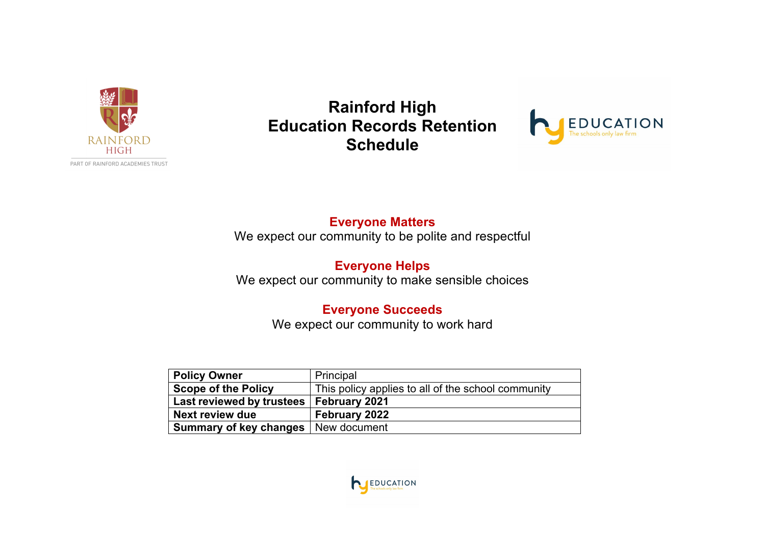

**Rainford High Education Records Retention Schedule**



#### **Everyone Matters**

We expect our community to be polite and respectful

#### **Everyone Helps** We expect our community to make sensible choices

# **Everyone Succeeds**

We expect our community to work hard

| <b>Policy Owner</b>        | Principal                                          |
|----------------------------|----------------------------------------------------|
| <b>Scope of the Policy</b> | This policy applies to all of the school community |
| Last reviewed by trustees  | February 2021                                      |
| <b>Next review due</b>     | <b>February 2022</b>                               |
| Summary of key changes     | New document                                       |

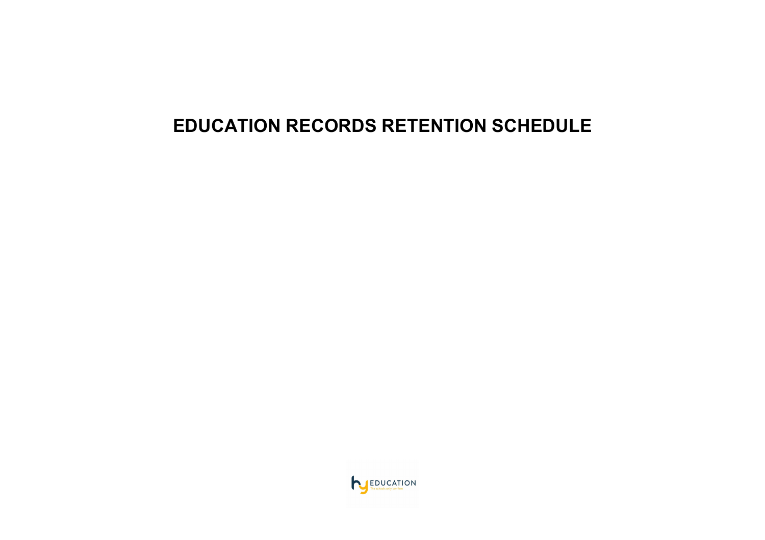# **EDUCATION RECORDS RETENTION SCHEDULE**

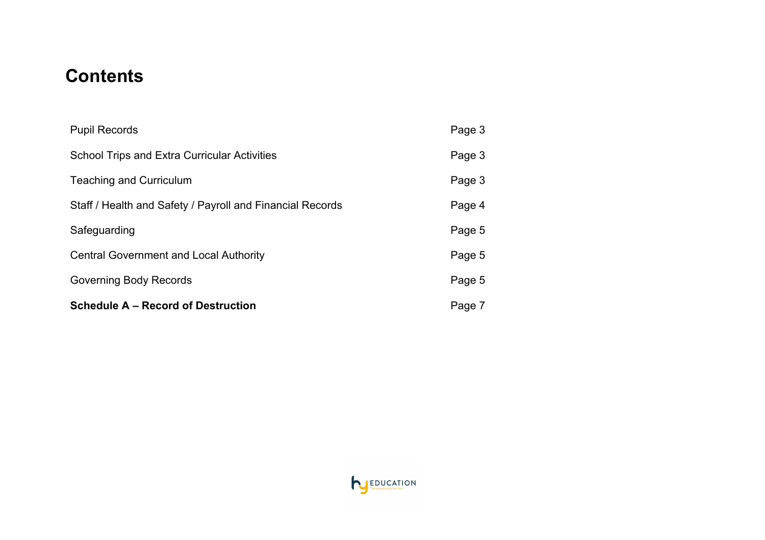# **Contents**

| <b>Schedule A – Record of Destruction</b>                 | Page 7 |
|-----------------------------------------------------------|--------|
| Governing Body Records                                    | Page 5 |
| <b>Central Government and Local Authority</b>             | Page 5 |
| Safeguarding                                              | Page 5 |
| Staff / Health and Safety / Payroll and Financial Records | Page 4 |
| <b>Teaching and Curriculum</b>                            | Page 3 |
| <b>School Trips and Extra Curricular Activities</b>       | Page 3 |
| <b>Pupil Records</b>                                      | Page 3 |

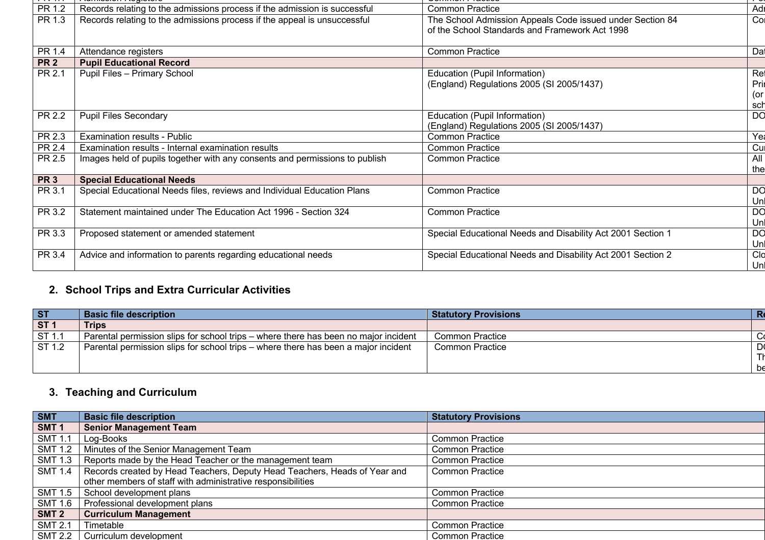| PR 1.2          | Records relating to the admissions process if the admission is successful   | <b>Common Practice</b>                                      | Adr       |
|-----------------|-----------------------------------------------------------------------------|-------------------------------------------------------------|-----------|
| PR 1.3          | Records relating to the admissions process if the appeal is unsuccessful    | The School Admission Appeals Code issued under Section 84   | Col       |
|                 |                                                                             | of the School Standards and Framework Act 1998              |           |
|                 |                                                                             |                                                             |           |
| PR 1.4          | Attendance registers                                                        | <b>Common Practice</b>                                      | Dat       |
| PR <sub>2</sub> | <b>Pupil Educational Record</b>                                             |                                                             |           |
| PR 2.1          | <b>Pupil Files - Primary School</b>                                         | Education (Pupil Information)                               | Ref       |
|                 |                                                                             | (England) Regulations 2005 (SI 2005/1437)                   | Prin      |
|                 |                                                                             |                                                             | (or       |
|                 |                                                                             |                                                             | sch       |
| PR 2.2          | <b>Pupil Files Secondary</b>                                                | Education (Pupil Information)                               | DO        |
|                 |                                                                             | (England) Regulations 2005 (SI 2005/1437)                   |           |
| PR 2.3          | <b>Examination results - Public</b>                                         | <b>Common Practice</b>                                      | Yea       |
| PR 2.4          | Examination results - Internal examination results                          | <b>Common Practice</b>                                      | Cu        |
| PR 2.5          | Images held of pupils together with any consents and permissions to publish | <b>Common Practice</b>                                      | All I     |
|                 |                                                                             |                                                             | thel      |
| <b>PR 3</b>     | <b>Special Educational Needs</b>                                            |                                                             |           |
| PR 3.1          | Special Educational Needs files, reviews and Individual Education Plans     | <b>Common Practice</b>                                      | g         |
|                 |                                                                             |                                                             | Unl       |
| PR 3.2          | Statement maintained under The Education Act 1996 - Section 324             | <b>Common Practice</b>                                      | <b>DO</b> |
|                 |                                                                             |                                                             | Un        |
| PR 3.3          | Proposed statement or amended statement                                     | Special Educational Needs and Disability Act 2001 Section 1 | DO        |
|                 |                                                                             |                                                             | Unl       |
| PR 3.4          | Advice and information to parents regarding educational needs               | Special Educational Needs and Disability Act 2001 Section 2 | Clo       |
|                 |                                                                             |                                                             |           |

## **2. School Trips and Extra Curricular Activities**

| <b>ST</b>       | <b>Basic file description</b>                                                       | R<br><b>Statutory Provisions</b> |
|-----------------|-------------------------------------------------------------------------------------|----------------------------------|
| ST <sub>1</sub> | <b>Trips</b>                                                                        |                                  |
| ST 1.1          | Parental permission slips for school trips – where there has been no major incident | Common Practice                  |
| ST 1.2          | Parental permission slips for school trips – where there has been a major incident  | D)<br><b>Common Practice</b>     |
|                 |                                                                                     |                                  |
|                 |                                                                                     | be                               |

## **3. Teaching and Curriculum**

| <b>SMT</b>       | <b>Basic file description</b>                                                     | <b>Statutory Provisions</b> |
|------------------|-----------------------------------------------------------------------------------|-----------------------------|
| SMT <sub>1</sub> | <b>Senior Management Team</b>                                                     |                             |
| <b>SMT 1.1</b>   | Log-Books                                                                         | <b>Common Practice</b>      |
|                  | SMT 1.2   Minutes of the Senior Management Team                                   | <b>Common Practice</b>      |
|                  | SMT 1.3 Reports made by the Head Teacher or the management team                   | <b>Common Practice</b>      |
|                  | SMT 1.4 Records created by Head Teachers, Deputy Head Teachers, Heads of Year and | <b>Common Practice</b>      |
|                  | other members of staff with administrative responsibilities                       |                             |
|                  | SMT 1.5   School development plans                                                | <b>Common Practice</b>      |
| SMT 1.6          | Professional development plans                                                    | <b>Common Practice</b>      |
| SMT <sub>2</sub> | <b>Curriculum Management</b>                                                      |                             |
| SMT 2.1          | Timetable                                                                         | <b>Common Practice</b>      |
|                  | SMT 2.2   Curriculum development                                                  | <b>Common Practice</b>      |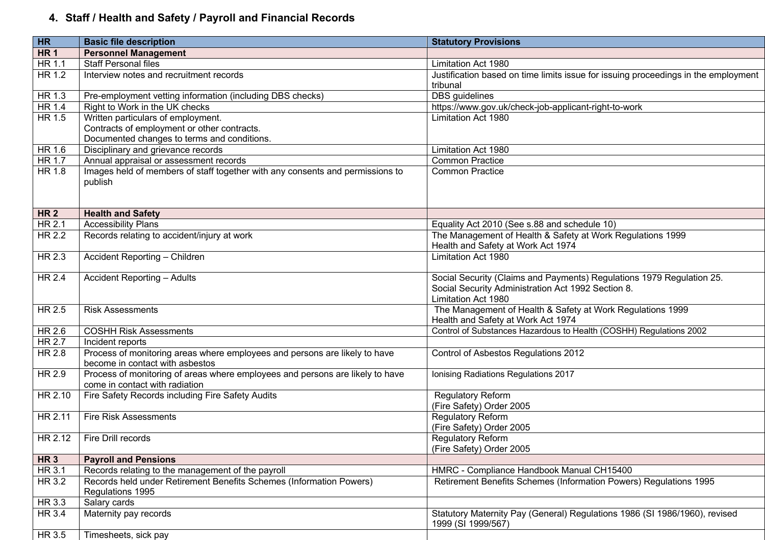# **4. Staff / Health and Safety / Payroll and Financial Records**

| HR              | <b>Basic file description</b>                                                                                                    | <b>Statutory Provisions</b>                                                                                                                        |  |
|-----------------|----------------------------------------------------------------------------------------------------------------------------------|----------------------------------------------------------------------------------------------------------------------------------------------------|--|
| HR <sub>1</sub> | <b>Personnel Management</b>                                                                                                      |                                                                                                                                                    |  |
| HR 1.1          | <b>Staff Personal files</b>                                                                                                      | Limitation Act 1980                                                                                                                                |  |
| HR 1.2          | Interview notes and recruitment records                                                                                          | Justification based on time limits issue for issuing proceedings in the employment<br>tribunal                                                     |  |
| HR 1.3          | Pre-employment vetting information (including DBS checks)                                                                        | <b>DBS</b> guidelines                                                                                                                              |  |
| HR 1.4          | Right to Work in the UK checks                                                                                                   | https://www.gov.uk/check-job-applicant-right-to-work                                                                                               |  |
| HR 1.5          | Written particulars of employment.<br>Contracts of employment or other contracts.<br>Documented changes to terms and conditions. | Limitation Act 1980                                                                                                                                |  |
| HR 1.6          | Disciplinary and grievance records                                                                                               | Limitation Act 1980                                                                                                                                |  |
| HR 1.7          | Annual appraisal or assessment records                                                                                           | <b>Common Practice</b>                                                                                                                             |  |
| HR 1.8          | Images held of members of staff together with any consents and permissions to<br>publish                                         | <b>Common Practice</b>                                                                                                                             |  |
| <b>HR2</b>      | <b>Health and Safety</b>                                                                                                         |                                                                                                                                                    |  |
| HR 2.1          | <b>Accessibility Plans</b>                                                                                                       | Equality Act 2010 (See s.88 and schedule 10)                                                                                                       |  |
| HR 2.2          | Records relating to accident/injury at work                                                                                      | The Management of Health & Safety at Work Regulations 1999<br>Health and Safety at Work Act 1974                                                   |  |
| HR 2.3          | Accident Reporting - Children                                                                                                    | Limitation Act 1980                                                                                                                                |  |
| HR 2.4          | <b>Accident Reporting - Adults</b>                                                                                               | Social Security (Claims and Payments) Regulations 1979 Regulation 25.<br>Social Security Administration Act 1992 Section 8.<br>Limitation Act 1980 |  |
| HR 2.5          | <b>Risk Assessments</b>                                                                                                          | The Management of Health & Safety at Work Regulations 1999<br>Health and Safety at Work Act 1974                                                   |  |
| HR 2.6          | <b>COSHH Risk Assessments</b>                                                                                                    | Control of Substances Hazardous to Health (COSHH) Regulations 2002                                                                                 |  |
| HR 2.7          | Incident reports                                                                                                                 |                                                                                                                                                    |  |
| HR 2.8          | Process of monitoring areas where employees and persons are likely to have<br>become in contact with asbestos                    | Control of Asbestos Regulations 2012                                                                                                               |  |
| HR 2.9          | Process of monitoring of areas where employees and persons are likely to have<br>come in contact with radiation                  | Ionising Radiations Regulations 2017                                                                                                               |  |
| HR 2.10         | Fire Safety Records including Fire Safety Audits                                                                                 | <b>Regulatory Reform</b><br>(Fire Safety) Order 2005                                                                                               |  |
| HR 2.11         | <b>Fire Risk Assessments</b>                                                                                                     | Regulatory Reform<br>(Fire Safety) Order 2005                                                                                                      |  |
|                 | $HR 2.12$   Fire Drill records                                                                                                   | <b>Regulatory Reform</b><br>(Fire Safety) Order 2005                                                                                               |  |
| HR <sub>3</sub> | <b>Payroll and Pensions</b>                                                                                                      |                                                                                                                                                    |  |
| HR 3.1          | Records relating to the management of the payroll                                                                                | HMRC - Compliance Handbook Manual CH15400                                                                                                          |  |
| HR 3.2          | Records held under Retirement Benefits Schemes (Information Powers)<br>Regulations 1995                                          | Retirement Benefits Schemes (Information Powers) Regulations 1995                                                                                  |  |
| HR 3.3          | Salary cards                                                                                                                     |                                                                                                                                                    |  |
| HR 3.4          | Maternity pay records                                                                                                            | Statutory Maternity Pay (General) Regulations 1986 (SI 1986/1960), revised<br>1999 (SI 1999/567)                                                   |  |
| HR 3.5          | Timesheets, sick pay                                                                                                             |                                                                                                                                                    |  |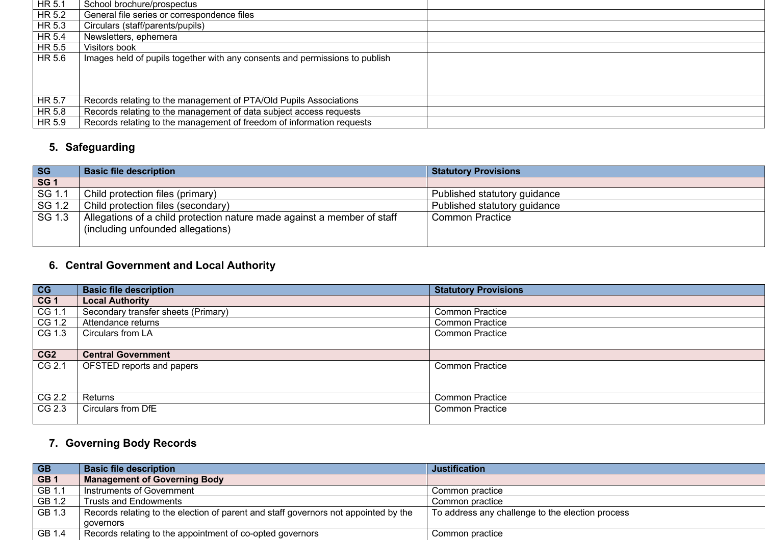| $H$ R 5.1                  | School brochure/prospectus                                                  |
|----------------------------|-----------------------------------------------------------------------------|
| $H$ R 5.2                  | General file series or correspondence files                                 |
| $H$ R 5.3                  | Circulars (staff/parents/pupils)                                            |
| HR 5.4                     | Newsletters, ephemera                                                       |
| HR 5.5                     | Visitors book                                                               |
| HR 5.6                     | Images held of pupils together with any consents and permissions to publish |
|                            |                                                                             |
|                            |                                                                             |
|                            |                                                                             |
| $\overline{\text{HR}}$ 5.7 | Records relating to the management of PTA/Old Pupils Associations           |
| HR 5.8                     | Records relating to the management of data subject access requests          |
| HR 5.9                     | Records relating to the management of freedom of information requests       |
|                            |                                                                             |

#### **5. Safeguarding**

| <b>SG</b>  | <b>Basic file description</b>                                                                                         | <b>Statutory Provisions</b>  |
|------------|-----------------------------------------------------------------------------------------------------------------------|------------------------------|
| <b>SG1</b> |                                                                                                                       |                              |
| SG 1.1     | Child protection files (primary)                                                                                      | Published statutory guidance |
|            | SG 1.2   Child protection files (secondary)                                                                           | Published statutory guidance |
|            | SG 1.3   Allegations of a child protection nature made against a member of staff<br>(including unfounded allegations) | <b>Common Practice</b>       |
|            |                                                                                                                       |                              |

## **6. Central Government and Local Authority**

| $\begin{array}{ c c }\n\hline\n\text{CG} & \text{CG} & \text{CG} & \text{CG} & \text{CG} & \text{CG} & \text{CG} & \text{CG} & \text{CG} & \text{CG} & \text{CG} & \text{CG} & \text{CG} & \text{CG} & \text{CG} & \text{CG} & \text{CG} & \text{CG} & \text{CG} & \text{CG} & \text{CG} & \text{CG} & \text{CG} & \text{CG} & \text{CG} & \text{CG} & \text{CG} & \text{CG} & \text{CG} & \text{CG} & \text{CG} & \text{CG} & \text{CG} & \text{CG} &$ | <b>Basic file description</b>       | <b>Statutory Provisions</b> |
|---------------------------------------------------------------------------------------------------------------------------------------------------------------------------------------------------------------------------------------------------------------------------------------------------------------------------------------------------------------------------------------------------------------------------------------------------------|-------------------------------------|-----------------------------|
|                                                                                                                                                                                                                                                                                                                                                                                                                                                         | <b>Local Authority</b>              |                             |
|                                                                                                                                                                                                                                                                                                                                                                                                                                                         | Secondary transfer sheets (Primary) | <b>Common Practice</b>      |
| CG 1.2                                                                                                                                                                                                                                                                                                                                                                                                                                                  | Attendance returns                  | <b>Common Practice</b>      |
| CG 1.3                                                                                                                                                                                                                                                                                                                                                                                                                                                  | Circulars from LA                   | <b>Common Practice</b>      |
|                                                                                                                                                                                                                                                                                                                                                                                                                                                         |                                     |                             |
| CG2                                                                                                                                                                                                                                                                                                                                                                                                                                                     | <b>Central Government</b>           |                             |
| CG 2.1                                                                                                                                                                                                                                                                                                                                                                                                                                                  | <b>OFSTED reports and papers</b>    | Common Practice             |
|                                                                                                                                                                                                                                                                                                                                                                                                                                                         |                                     |                             |
|                                                                                                                                                                                                                                                                                                                                                                                                                                                         |                                     |                             |
| CG 2.2                                                                                                                                                                                                                                                                                                                                                                                                                                                  | Returns                             | <b>Common Practice</b>      |
| CG 2.3                                                                                                                                                                                                                                                                                                                                                                                                                                                  | Circulars from DfE                  | <b>Common Practice</b>      |
|                                                                                                                                                                                                                                                                                                                                                                                                                                                         |                                     |                             |

# **7. Governing Body Records**

| $\overline{\mathsf{G}\mathsf{B}}$ | <b>Basic file description</b>                                                       | <b>Justification</b>                             |
|-----------------------------------|-------------------------------------------------------------------------------------|--------------------------------------------------|
| GB <sub>1</sub>                   | <b>Management of Governing Body</b>                                                 |                                                  |
| GB 1.1                            | I Instruments of Government                                                         | Common practice                                  |
| GB1.2                             | l Trusts and Endowments                                                             | Common practice                                  |
| $\overline{GB1.3}$                | Records relating to the election of parent and staff governors not appointed by the | To address any challenge to the election process |
|                                   | aovernors                                                                           |                                                  |
| GB 1.4                            | Records relating to the appointment of co-opted governors                           | Common practice                                  |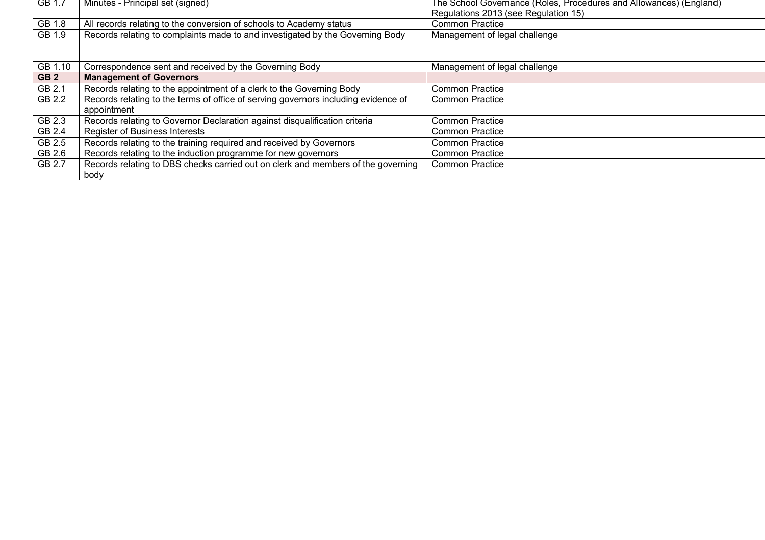| TGB 1.7         | Minutes - Principal set (signed)                                                   | The School Governance (Roles, Procedures and Allowances) (England) |
|-----------------|------------------------------------------------------------------------------------|--------------------------------------------------------------------|
|                 |                                                                                    | Regulations 2013 (see Regulation 15)                               |
| GB 1.8          | All records relating to the conversion of schools to Academy status                | <b>Common Practice</b>                                             |
| GB 1.9          | Records relating to complaints made to and investigated by the Governing Body      | Management of legal challenge                                      |
|                 |                                                                                    |                                                                    |
|                 |                                                                                    |                                                                    |
| GB 1.10         | Correspondence sent and received by the Governing Body                             | Management of legal challenge                                      |
| GB <sub>2</sub> | <b>Management of Governors</b>                                                     |                                                                    |
| GB 2.1          | Records relating to the appointment of a clerk to the Governing Body               | <b>Common Practice</b>                                             |
| GB 2.2          | Records relating to the terms of office of serving governors including evidence of | <b>Common Practice</b>                                             |
|                 | appointment                                                                        |                                                                    |
| GB 2.3          | Records relating to Governor Declaration against disqualification criteria         | <b>Common Practice</b>                                             |
| GB 2.4          | <b>Register of Business Interests</b>                                              | <b>Common Practice</b>                                             |
| GB 2.5          | Records relating to the training required and received by Governors                | <b>Common Practice</b>                                             |
| GB 2.6          | Records relating to the induction programme for new governors                      | <b>Common Practice</b>                                             |
| GB 2.7          | Records relating to DBS checks carried out on clerk and members of the governing   | <b>Common Practice</b>                                             |
|                 | body                                                                               |                                                                    |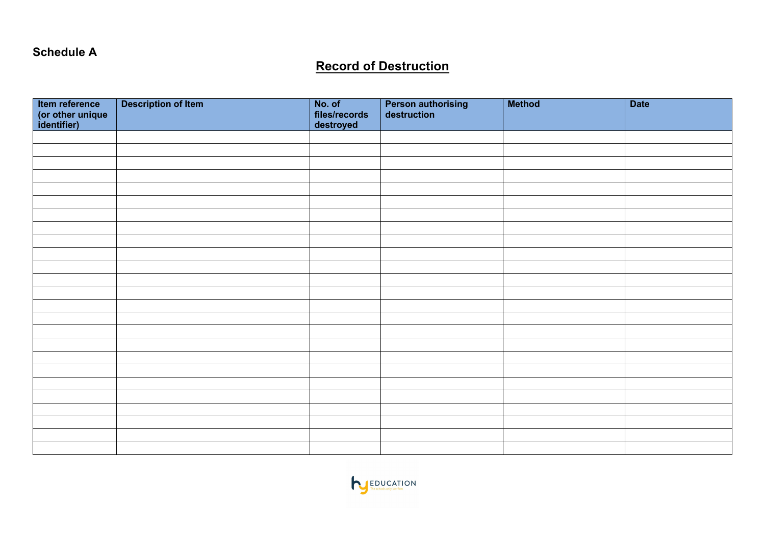#### **Schedule A**

# **Record of Destruction**

| ltem reference<br>(or other unique<br>identifier) | <b>Description of Item</b> | No. of<br>files/records<br>destroyed | <b>Person authorising<br/>destruction</b> | <b>Method</b> | <b>Date</b> |
|---------------------------------------------------|----------------------------|--------------------------------------|-------------------------------------------|---------------|-------------|
|                                                   |                            |                                      |                                           |               |             |
|                                                   |                            |                                      |                                           |               |             |
|                                                   |                            |                                      |                                           |               |             |
|                                                   |                            |                                      |                                           |               |             |
|                                                   |                            |                                      |                                           |               |             |
|                                                   |                            |                                      |                                           |               |             |
|                                                   |                            |                                      |                                           |               |             |
|                                                   |                            |                                      |                                           |               |             |
|                                                   |                            |                                      |                                           |               |             |
|                                                   |                            |                                      |                                           |               |             |
|                                                   |                            |                                      |                                           |               |             |
|                                                   |                            |                                      |                                           |               |             |
|                                                   |                            |                                      |                                           |               |             |
|                                                   |                            |                                      |                                           |               |             |
|                                                   |                            |                                      |                                           |               |             |
|                                                   |                            |                                      |                                           |               |             |
|                                                   |                            |                                      |                                           |               |             |
|                                                   |                            |                                      |                                           |               |             |
|                                                   |                            |                                      |                                           |               |             |
|                                                   |                            |                                      |                                           |               |             |
|                                                   |                            |                                      |                                           |               |             |
|                                                   |                            |                                      |                                           |               |             |
|                                                   |                            |                                      |                                           |               |             |
|                                                   |                            |                                      |                                           |               |             |
|                                                   |                            |                                      |                                           |               |             |